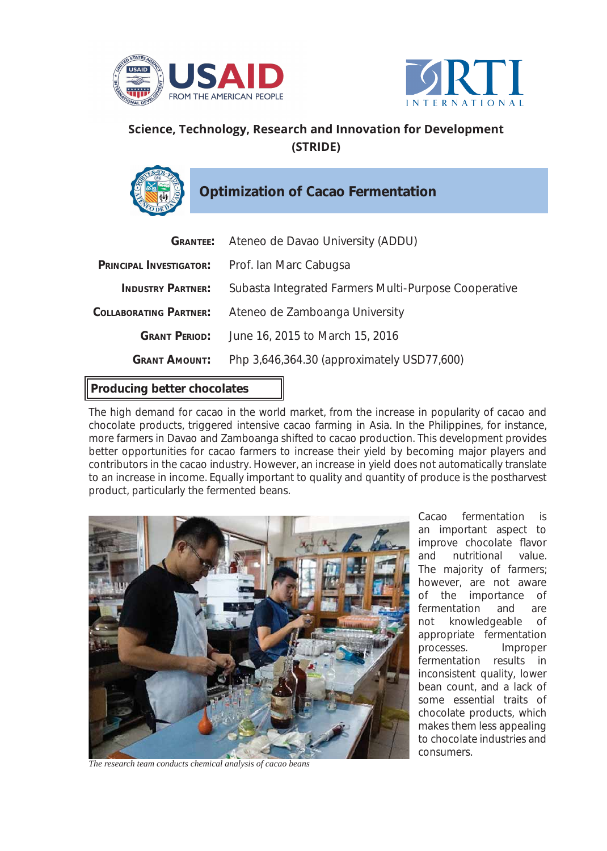



## **Science, Technology, Research and Innovation for Development (STRIDE)**

**Optimization of Cacao Fermentation**

|                               | <b>GRANTEE:</b> Ateneo de Davao University (ADDU)    |
|-------------------------------|------------------------------------------------------|
| PRINCIPAL INVESTIGATOR:       | Prof. Ian Marc Cabugsa                               |
| <b>INDUSTRY PARTNER:</b>      | Subasta Integrated Farmers Multi-Purpose Cooperative |
| <b>COLLABORATING PARTNER:</b> | Ateneo de Zamboanga University                       |
| <b>GRANT PERIOD:</b>          | June 16, 2015 to March 15, 2016                      |
| <b>GRANT AMOUNT:</b>          | Php 3,646,364.30 (approximately USD77,600)           |

## **Producing better chocolates**

The high demand for cacao in the world market, from the increase in popularity of cacao and chocolate products, triggered intensive cacao farming in Asia. In the Philippines, for instance, more farmers in Davao and Zamboanga shifted to cacao production. This development provides better opportunities for cacao farmers to increase their yield by becoming major players and contributors in the cacao industry. However, an increase in yield does not automatically translate to an increase in income. Equally important to quality and quantity of produce is the postharvest product, particularly the fermented beans.



*The research team conducts chemical analysis of cacao beans*

Cacao fermentation is an important aspect to improve chocolate flavor and nutritional value. The majority of farmers; however, are not aware of the importance of fermentation and are not knowledgeable of appropriate fermentation processes. Improper fermentation results in inconsistent quality, lower bean count, and a lack of some essential traits of chocolate products, which makes them less appealing to chocolate industries and consumers.